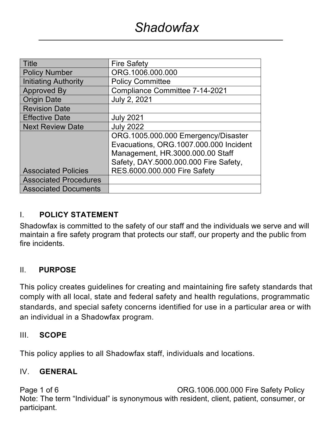| <b>Title</b>                 | <b>Fire Safety</b>                     |  |  |
|------------------------------|----------------------------------------|--|--|
| <b>Policy Number</b>         | ORG.1006.000.000                       |  |  |
| Initiating Authority         | <b>Policy Committee</b>                |  |  |
| <b>Approved By</b>           | <b>Compliance Committee 7-14-2021</b>  |  |  |
| <b>Origin Date</b>           | <b>July 2, 2021</b>                    |  |  |
| <b>Revision Date</b>         |                                        |  |  |
| <b>Effective Date</b>        | <b>July 2021</b>                       |  |  |
| <b>Next Review Date</b>      | <b>July 2022</b>                       |  |  |
|                              | ORG.1005.000.000 Emergency/Disaster    |  |  |
|                              | Evacuations, ORG.1007.000.000 Incident |  |  |
|                              | Management, HR.3000.000.00 Staff       |  |  |
|                              | Safety, DAY.5000.000.000 Fire Safety,  |  |  |
| <b>Associated Policies</b>   | RES.6000.000.000 Fire Safety           |  |  |
| <b>Associated Procedures</b> |                                        |  |  |
| <b>Associated Documents</b>  |                                        |  |  |

## I. **POLICY STATEMENT**

Shadowfax is committed to the safety of our staff and the individuals we serve and will maintain a fire safety program that protects our staff, our property and the public from fire incidents.

## II. **PURPOSE**

This policy creates guidelines for creating and maintaining fire safety standards that comply with all local, state and federal safety and health regulations, programmatic standards, and special safety concerns identified for use in a particular area or with an individual in a Shadowfax program.

## III. **SCOPE**

This policy applies to all Shadowfax staff, individuals and locations.

## IV. **GENERAL**

Page 1 of 6 Contract Contract CORG.1006.000.000 Fire Safety Policy Note: The term "Individual" is synonymous with resident, client, patient, consumer, or participant.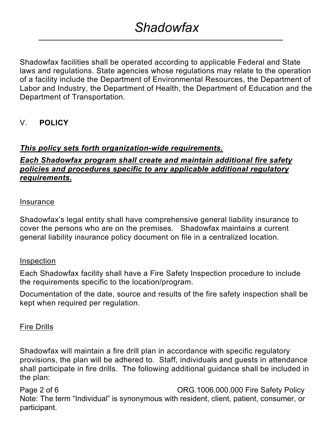Shadowfax facilities shall be operated according to applicable Federal and State laws and regulations. State agencies whose regulations may relate to the operation of a facility include the Department of Environmental Resources, the Department of Labor and Industry, the Department of Health, the Department of Education and the Department of Transportation.

## V. **POLICY**

## *This policy sets forth organization-wide requirements.*

## *Each Shadowfax program shall create and maintain additional fire safety policies and procedures specific to any applicable additional regulatory requirements.*

#### Insurance

Shadowfax's legal entity shall have comprehensive general liability insurance to cover the persons who are on the premises. Shadowfax maintains a current general liability insurance policy document on file in a centralized location.

#### Inspection

Each Shadowfax facility shall have a Fire Safety Inspection procedure to include the requirements specific to the location/program.

Documentation of the date, source and results of the fire safety inspection shall be kept when required per regulation.

#### Fire Drills

Shadowfax will maintain a fire drill plan in accordance with specific regulatory provisions, the plan will be adhered to. Staff, individuals and guests in attendance shall participate in fire drills. The following additional guidance shall be included in the plan:

Page 2 of 6 Contract Contract CORG.1006.000.000 Fire Safety Policy Note: The term "Individual" is synonymous with resident, client, patient, consumer, or participant.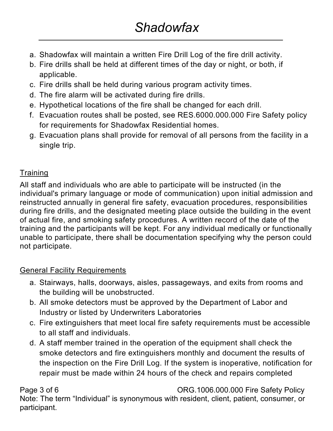- a. Shadowfax will maintain a written Fire Drill Log of the fire drill activity.
- b. Fire drills shall be held at different times of the day or night, or both, if applicable.
- c. Fire drills shall be held during various program activity times.
- d. The fire alarm will be activated during fire drills.
- e. Hypothetical locations of the fire shall be changed for each drill.
- f. Evacuation routes shall be posted, see RES.6000.000.000 Fire Safety policy for requirements for Shadowfax Residential homes.
- g. Evacuation plans shall provide for removal of all persons from the facility in a single trip.

# **Training**

All staff and individuals who are able to participate will be instructed (in the individual's primary language or mode of communication) upon initial admission and reinstructed annually in general fire safety, evacuation procedures, responsibilities during fire drills, and the designated meeting place outside the building in the event of actual fire, and smoking safety procedures. A written record of the date of the training and the participants will be kept. For any individual medically or functionally unable to participate, there shall be documentation specifying why the person could not participate.

# General Facility Requirements

- a. Stairways, halls, doorways, aisles, passageways, and exits from rooms and the building will be unobstructed.
- b. All smoke detectors must be approved by the Department of Labor and Industry or listed by Underwriters Laboratories
- c. Fire extinguishers that meet local fire safety requirements must be accessible to all staff and individuals.
- d. A staff member trained in the operation of the equipment shall check the smoke detectors and fire extinguishers monthly and document the results of the inspection on the Fire Drill Log. If the system is inoperative, notification for repair must be made within 24 hours of the check and repairs completed

Page 3 of 6 CONSERVIATE: CORG.1006.000.000 Fire Safety Policy Note: The term "Individual" is synonymous with resident, client, patient, consumer, or participant.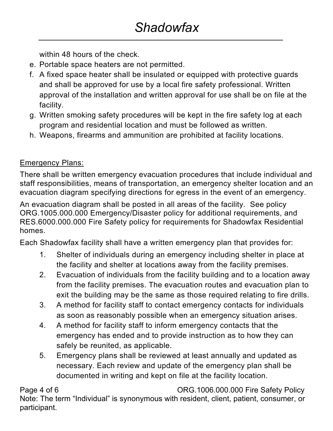within 48 hours of the check.

- e. Portable space heaters are not permitted.
- f. A fixed space heater shall be insulated or equipped with protective guards and shall be approved for use by a local fire safety professional. Written approval of the installation and written approval for use shall be on file at the facility.
- g. Written smoking safety procedures will be kept in the fire safety log at each program and residential location and must be followed as written.
- h. Weapons, firearms and ammunition are prohibited at facility locations.

# Emergency Plans:

There shall be written emergency evacuation procedures that include individual and staff responsibilities, means of transportation, an emergency shelter location and an evacuation diagram specifying directions for egress in the event of an emergency.

An evacuation diagram shall be posted in all areas of the facility. See policy ORG.1005.000.000 Emergency/Disaster policy for additional requirements, and RES.6000.000.000 Fire Safety policy for requirements for Shadowfax Residential homes.

Each Shadowfax facility shall have a written emergency plan that provides for:

- 1. Shelter of individuals during an emergency including shelter in place at the facility and shelter at locations away from the facility premises.
- 2. Evacuation of individuals from the facility building and to a location away from the facility premises. The evacuation routes and evacuation plan to exit the building may be the same as those required relating to fire drills.
- 3. A method for facility staff to contact emergency contacts for individuals as soon as reasonably possible when an emergency situation arises.
- 4. A method for facility staff to inform emergency contacts that the emergency has ended and to provide instruction as to how they can safely be reunited, as applicable.
- 5. Emergency plans shall be reviewed at least annually and updated as necessary. Each review and update of the emergency plan shall be documented in writing and kept on file at the facility location.

Page 4 of 6 Contract Contract CORG.1006.000.000 Fire Safety Policy Note: The term "Individual" is synonymous with resident, client, patient, consumer, or participant.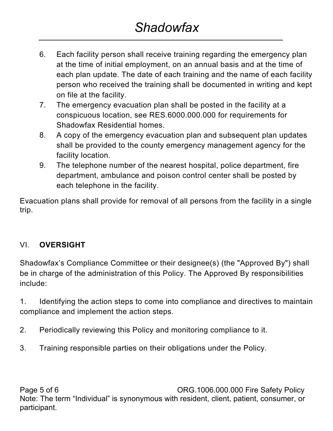- 6. Each facility person shall receive training regarding the emergency plan at the time of initial employment, on an annual basis and at the time of each plan update. The date of each training and the name of each facility person who received the training shall be documented in writing and kept on file at the facility.
- 7. The emergency evacuation plan shall be posted in the facility at a conspicuous location, see RES.6000.000.000 for requirements for Shadowfax Residential homes.
- 8. A copy of the emergency evacuation plan and subsequent plan updates shall be provided to the county emergency management agency for the facility location.
- 9. The telephone number of the nearest hospital, police department, fire department, ambulance and poison control center shall be posted by each telephone in the facility.

Evacuation plans shall provide for removal of all persons from the facility in a single trip.

# VI. **OVERSIGHT**

Shadowfax's Compliance Committee or their designee(s) (the "Approved By") shall be in charge of the administration of this Policy. The Approved By responsibilities include:

1. Identifying the action steps to come into compliance and directives to maintain compliance and implement the action steps.

- 2. Periodically reviewing this Policy and monitoring compliance to it.
- 3. Training responsible parties on their obligations under the Policy.

Page 5 of 6 CONSERVIATE: CORG.1006.000.000 Fire Safety Policy Note: The term "Individual" is synonymous with resident, client, patient, consumer, or participant.